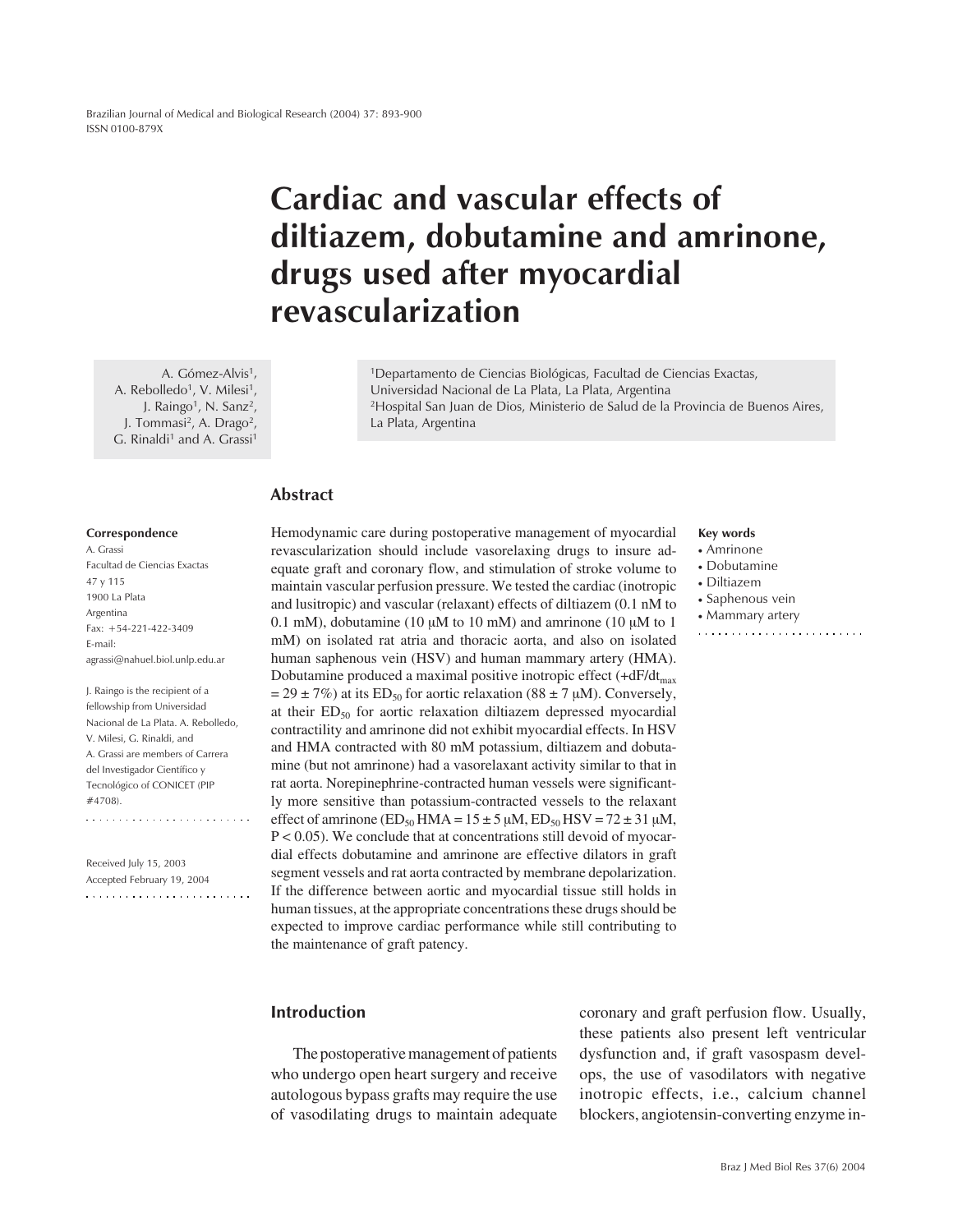Brazilian Journal of Medical and Biological Research (2004) 37: 893-900 ISSN 0100-879X

# **Cardiac and vascular effects of diltiazem, dobutamine and amrinone, drugs used after myocardial revascularization**

A. Gómez-Alvis<sup>1</sup>, A. Rebolledo<sup>1</sup>, V. Milesi<sup>1</sup>, J. Raingo<sup>1</sup>, N. Sanz<sup>2</sup>, J. Tommasi2, A. Drago2, G. Rinaldi<sup>1</sup> and A. Grassi<sup>1</sup>

1Departamento de Ciencias Biológicas, Facultad de Ciencias Exactas, Universidad Nacional de La Plata, La Plata, Argentina 2Hospital San Juan de Dios, Ministerio de Salud de la Provincia de Buenos Aires, La Plata, Argentina

# **Abstract**

#### **Correspondence**

A. Grassi Facultad de Ciencias Exactas 47 y 115 1900 La Plata Argentina Fax: +54-221-422-3409 E-mail: agrassi@nahuel.biol.unlp.edu.ar

J. Raingo is the recipient of a fellowship from Universidad Nacional de La Plata. A. Rebolledo, V. Milesi, G. Rinaldi, and A. Grassi are members of Carrera del Investigador Científico y Tecnológico of CONICET (PIP #4708). 

Received July 15, 2003 Accepted February 19, 2004  Hemodynamic care during postoperative management of myocardial revascularization should include vasorelaxing drugs to insure adequate graft and coronary flow, and stimulation of stroke volume to maintain vascular perfusion pressure. We tested the cardiac (inotropic and lusitropic) and vascular (relaxant) effects of diltiazem (0.1 nM to 0.1 mM), dobutamine (10  $\mu$ M to 10 mM) and amrinone (10  $\mu$ M to 1 mM) on isolated rat atria and thoracic aorta, and also on isolated human saphenous vein (HSV) and human mammary artery (HMA). Dobutamine produced a maximal positive inotropic effect  $(+dF/dt_{max})$  $= 29 \pm 7\%$ ) at its ED<sub>50</sub> for aortic relaxation (88  $\pm 7 \mu$ M). Conversely, at their  $ED_{50}$  for aortic relaxation diltiazem depressed myocardial contractility and amrinone did not exhibit myocardial effects. In HSV and HMA contracted with 80 mM potassium, diltiazem and dobutamine (but not amrinone) had a vasorelaxant activity similar to that in rat aorta. Norepinephrine-contracted human vessels were significantly more sensitive than potassium-contracted vessels to the relaxant effect of amrinone (ED<sub>50</sub> HMA =  $15 \pm 5 \mu$ M, ED<sub>50</sub> HSV =  $72 \pm 31 \mu$ M,  $P < 0.05$ ). We conclude that at concentrations still devoid of myocardial effects dobutamine and amrinone are effective dilators in graft segment vessels and rat aorta contracted by membrane depolarization. If the difference between aortic and myocardial tissue still holds in human tissues, at the appropriate concentrations these drugs should be expected to improve cardiac performance while still contributing to the maintenance of graft patency.

#### **Key words**

- Amrinone
- Dobutamine
- Diltiazem
- Saphenous vein
- Mammary artery
- 

# **Introduction**

The postoperative management of patients who undergo open heart surgery and receive autologous bypass grafts may require the use of vasodilating drugs to maintain adequate coronary and graft perfusion flow. Usually, these patients also present left ventricular dysfunction and, if graft vasospasm develops, the use of vasodilators with negative inotropic effects, i.e., calcium channel blockers, angiotensin-converting enzyme in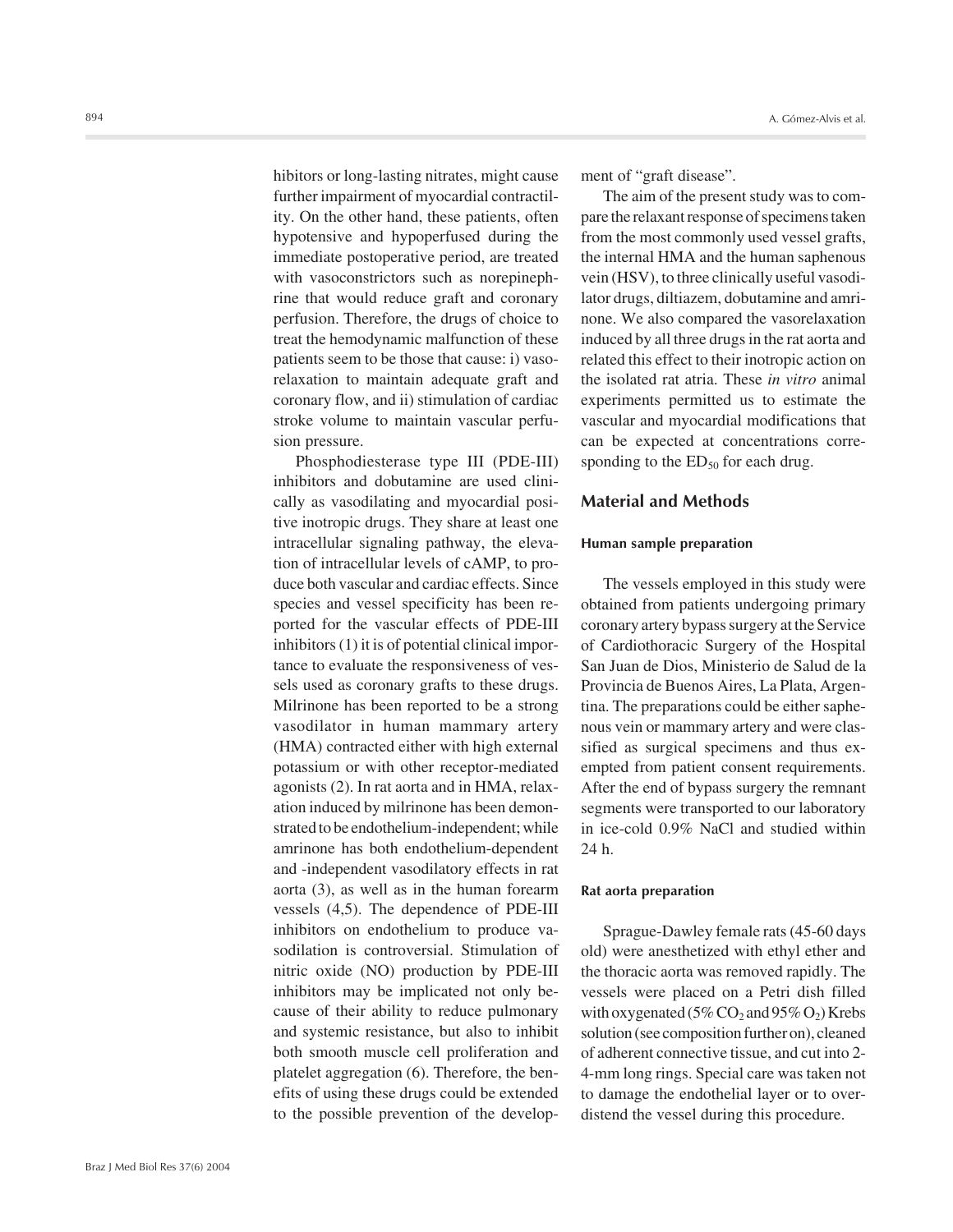hibitors or long-lasting nitrates, might cause further impairment of myocardial contractility. On the other hand, these patients, often hypotensive and hypoperfused during the immediate postoperative period, are treated with vasoconstrictors such as norepinephrine that would reduce graft and coronary perfusion. Therefore, the drugs of choice to treat the hemodynamic malfunction of these patients seem to be those that cause: i) vasorelaxation to maintain adequate graft and coronary flow, and ii) stimulation of cardiac stroke volume to maintain vascular perfusion pressure.

Phosphodiesterase type III (PDE-III) inhibitors and dobutamine are used clinically as vasodilating and myocardial positive inotropic drugs. They share at least one intracellular signaling pathway, the elevation of intracellular levels of cAMP, to produce both vascular and cardiac effects. Since species and vessel specificity has been reported for the vascular effects of PDE-III inhibitors (1) it is of potential clinical importance to evaluate the responsiveness of vessels used as coronary grafts to these drugs. Milrinone has been reported to be a strong vasodilator in human mammary artery (HMA) contracted either with high external potassium or with other receptor-mediated agonists (2). In rat aorta and in HMA, relaxation induced by milrinone has been demonstrated to be endothelium-independent; while amrinone has both endothelium-dependent and -independent vasodilatory effects in rat aorta (3), as well as in the human forearm vessels (4,5). The dependence of PDE-III inhibitors on endothelium to produce vasodilation is controversial. Stimulation of nitric oxide (NO) production by PDE-III inhibitors may be implicated not only because of their ability to reduce pulmonary and systemic resistance, but also to inhibit both smooth muscle cell proliferation and platelet aggregation (6). Therefore, the benefits of using these drugs could be extended to the possible prevention of the development of "graft disease".

The aim of the present study was to compare the relaxant response of specimens taken from the most commonly used vessel grafts, the internal HMA and the human saphenous vein (HSV), to three clinically useful vasodilator drugs, diltiazem, dobutamine and amrinone. We also compared the vasorelaxation induced by all three drugs in the rat aorta and related this effect to their inotropic action on the isolated rat atria. These *in vitro* animal experiments permitted us to estimate the vascular and myocardial modifications that can be expected at concentrations corresponding to the  $ED_{50}$  for each drug.

## **Material and Methods**

#### **Human sample preparation**

The vessels employed in this study were obtained from patients undergoing primary coronary artery bypass surgery at the Service of Cardiothoracic Surgery of the Hospital San Juan de Dios, Ministerio de Salud de la Provincia de Buenos Aires, La Plata, Argentina. The preparations could be either saphenous vein or mammary artery and were classified as surgical specimens and thus exempted from patient consent requirements. After the end of bypass surgery the remnant segments were transported to our laboratory in ice-cold 0.9% NaCl and studied within 24 h.

## **Rat aorta preparation**

Sprague-Dawley female rats (45-60 days old) were anesthetized with ethyl ether and the thoracic aorta was removed rapidly. The vessels were placed on a Petri dish filled with oxygenated ( $5\%$  CO<sub>2</sub> and  $95\%$  O<sub>2</sub>) Krebs solution (see composition further on), cleaned of adherent connective tissue, and cut into 2- 4-mm long rings. Special care was taken not to damage the endothelial layer or to overdistend the vessel during this procedure.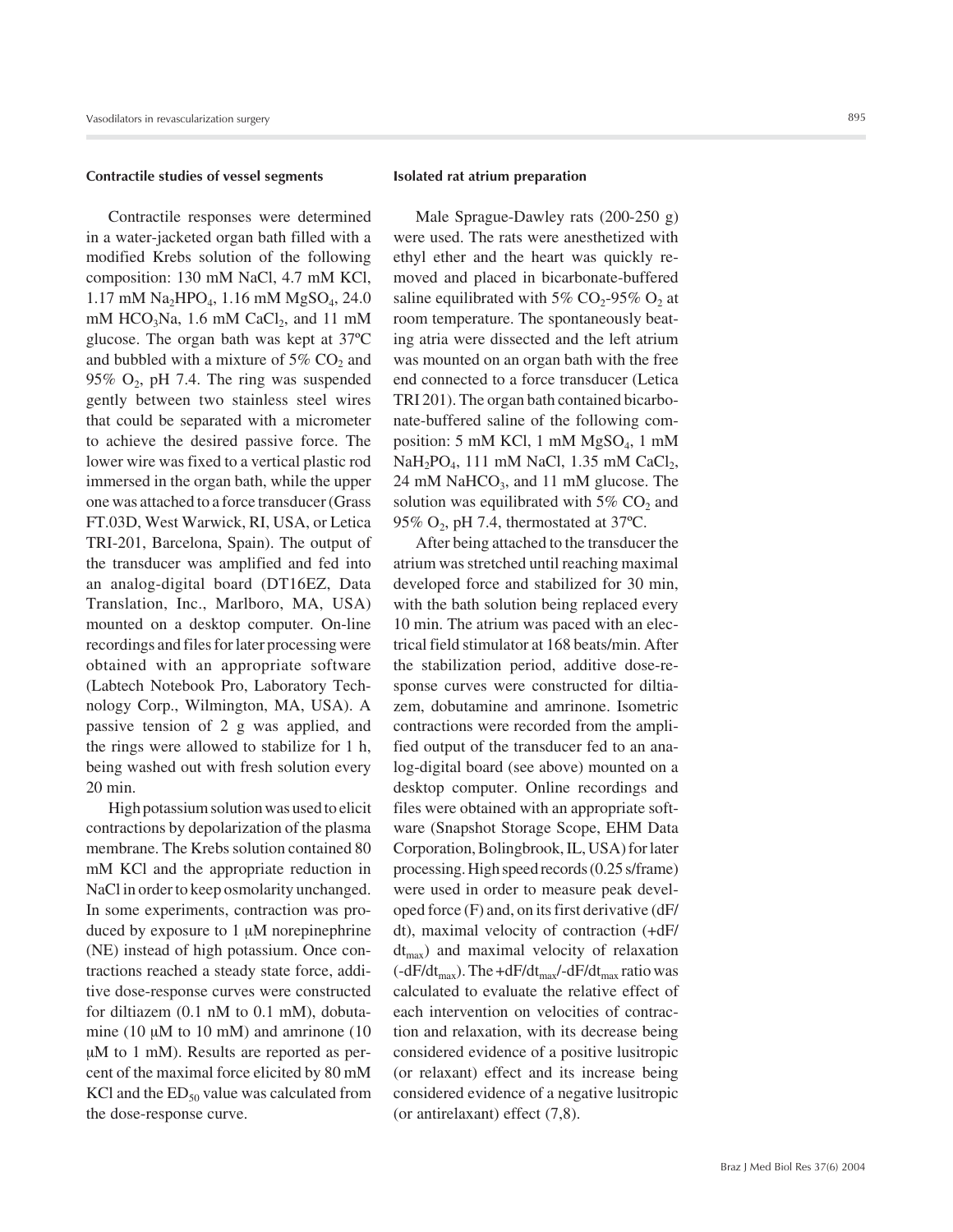#### **Contractile studies of vessel segments**

Contractile responses were determined in a water-jacketed organ bath filled with a modified Krebs solution of the following composition: 130 mM NaCl, 4.7 mM KCl,  $1.17$  mM Na<sub>2</sub>HPO<sub>4</sub>, 1.16 mM MgSO<sub>4</sub>, 24.0 mM  $HCO<sub>3</sub>Na$ , 1.6 mM  $CaCl<sub>2</sub>$ , and 11 mM glucose. The organ bath was kept at 37ºC and bubbled with a mixture of 5%  $CO<sub>2</sub>$  and 95%  $O_2$ , pH 7.4. The ring was suspended gently between two stainless steel wires that could be separated with a micrometer to achieve the desired passive force. The lower wire was fixed to a vertical plastic rod immersed in the organ bath, while the upper one was attached to a force transducer (Grass FT.03D, West Warwick, RI, USA, or Letica TRI-201, Barcelona, Spain). The output of the transducer was amplified and fed into an analog-digital board (DT16EZ, Data Translation, Inc., Marlboro, MA, USA) mounted on a desktop computer. On-line recordings and files for later processing were obtained with an appropriate software (Labtech Notebook Pro, Laboratory Technology Corp., Wilmington, MA, USA). A passive tension of 2 g was applied, and the rings were allowed to stabilize for 1 h, being washed out with fresh solution every 20 min.

High potassium solution was used to elicit contractions by depolarization of the plasma membrane. The Krebs solution contained 80 mM KCl and the appropriate reduction in NaCl in order to keep osmolarity unchanged. In some experiments, contraction was produced by exposure to  $1 \mu M$  norepinephrine (NE) instead of high potassium. Once contractions reached a steady state force, additive dose-response curves were constructed for diltiazem (0.1 nM to 0.1 mM), dobutamine (10  $\mu$ M to 10 mM) and amrinone (10 µM to 1 mM). Results are reported as percent of the maximal force elicited by 80 mM KCl and the  $ED_{50}$  value was calculated from the dose-response curve.

#### **Isolated rat atrium preparation**

Male Sprague-Dawley rats (200-250 g) were used. The rats were anesthetized with ethyl ether and the heart was quickly removed and placed in bicarbonate-buffered saline equilibrated with 5%  $CO<sub>2</sub>$ -95%  $O<sub>2</sub>$  at room temperature. The spontaneously beating atria were dissected and the left atrium was mounted on an organ bath with the free end connected to a force transducer (Letica TRI 201). The organ bath contained bicarbonate-buffered saline of the following composition: 5 mM KCl, 1 mM MgSO<sub>4</sub>, 1 mM NaH<sub>2</sub>PO<sub>4</sub>, 111 mM NaCl, 1.35 mM CaCl<sub>2</sub>, 24 mM NaHCO<sub>3</sub>, and 11 mM glucose. The solution was equilibrated with  $5\%$  CO<sub>2</sub> and 95%  $O_2$ , pH 7.4, thermostated at 37°C.

After being attached to the transducer the atrium was stretched until reaching maximal developed force and stabilized for 30 min, with the bath solution being replaced every 10 min. The atrium was paced with an electrical field stimulator at 168 beats/min. After the stabilization period, additive dose-response curves were constructed for diltiazem, dobutamine and amrinone. Isometric contractions were recorded from the amplified output of the transducer fed to an analog-digital board (see above) mounted on a desktop computer. Online recordings and files were obtained with an appropriate software (Snapshot Storage Scope, EHM Data Corporation, Bolingbrook, IL, USA) for later processing. High speed records (0.25 s/frame) were used in order to measure peak developed force (F) and, on its first derivative (dF/ dt), maximal velocity of contraction (+dF/  $dt_{\text{max}}$ ) and maximal velocity of relaxation  $(-dF/dt_{max})$ . The  $+dF/dt_{max}/-dF/dt_{max}$  ratio was calculated to evaluate the relative effect of each intervention on velocities of contraction and relaxation, with its decrease being considered evidence of a positive lusitropic (or relaxant) effect and its increase being considered evidence of a negative lusitropic (or antirelaxant) effect (7,8).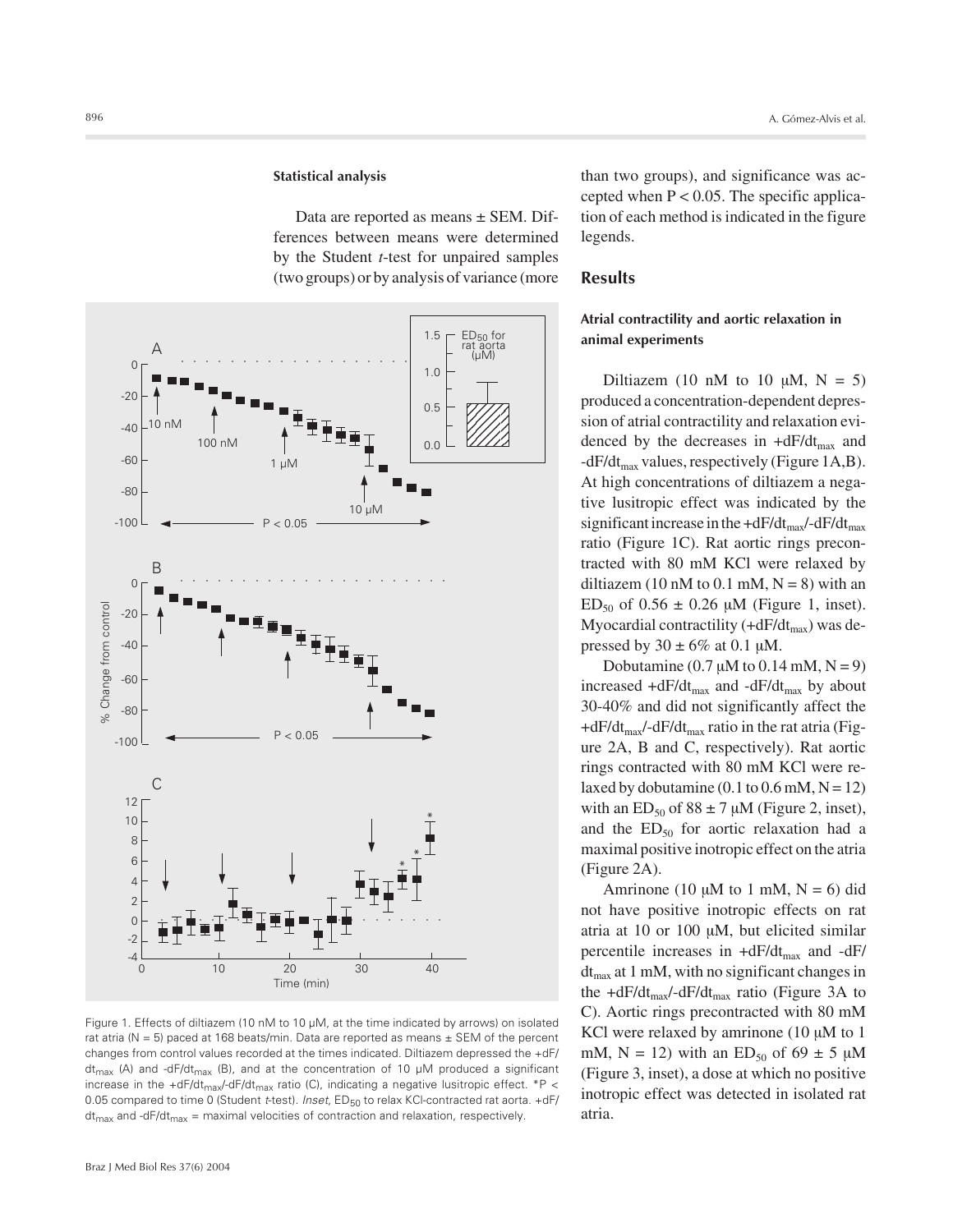#### **Statistical analysis**

Data are reported as means ± SEM. Differences between means were determined by the Student *t*-test for unpaired samples (two groups) or by analysis of variance (more



Figure 1. Effects of diltiazem (10 nM to 10 µM, at the time indicated by arrows) on isolated rat atria ( $N = 5$ ) paced at 168 beats/min. Data are reported as means  $\pm$  SEM of the percent changes from control values recorded at the times indicated. Diltiazem depressed the +dF/ dt<sub>max</sub> (A) and -dF/dt<sub>max</sub> (B), and at the concentration of 10  $\mu$ M produced a significant increase in the +dF/dt<sub>max</sub>/-dF/dt<sub>max</sub> ratio (C), indicating a negative lusitropic effect. \*P < 0.05 compared to time 0 (Student *t*-test). *Inset*, ED<sub>50</sub> to relax KCI-contracted rat aorta. +dF/  $dt_{\text{max}}$  and -dF/dt<sub>max</sub> = maximal velocities of contraction and relaxation, respectively.

than two groups), and significance was accepted when  $P < 0.05$ . The specific application of each method is indicated in the figure legends.

## **Results**

## **Atrial contractility and aortic relaxation in animal experiments**

Diltiazem (10 nM to 10  $\mu$ M, N = 5) produced a concentration-dependent depression of atrial contractility and relaxation evidenced by the decreases in  $+dF/dt_{max}$  and  $-dF/dt_{max}$  values, respectively (Figure 1A,B). At high concentrations of diltiazem a negative lusitropic effect was indicated by the significant increase in the  $+dF/dt_{max}/-dF/dt_{max}$ ratio (Figure 1C). Rat aortic rings precontracted with 80 mM KCl were relaxed by diltiazem (10 nM to 0.1 mM,  $N = 8$ ) with an  $ED_{50}$  of 0.56  $\pm$  0.26  $\mu$ M (Figure 1, inset). Myocardial contractility  $(+dF/dt_{max})$  was depressed by  $30 \pm 6\%$  at 0.1 µM.

Dobutamine (0.7  $\mu$ M to 0.14 mM, N = 9) increased  $+dF/dt_{max}$  and  $-dF/dt_{max}$  by about 30-40% and did not significantly affect the  $+dF/dt_{max}$ -dF/dt<sub>max</sub> ratio in the rat atria (Figure 2A, B and C, respectively). Rat aortic rings contracted with 80 mM KCl were relaxed by dobutamine  $(0.1 \text{ to } 0.6 \text{ mM}, N = 12)$ with an  $ED_{50}$  of  $88 \pm 7 \mu M$  (Figure 2, inset), and the  $ED_{50}$  for aortic relaxation had a maximal positive inotropic effect on the atria (Figure 2A).

Amrinone (10  $\mu$ M to 1 mM, N = 6) did not have positive inotropic effects on rat atria at 10 or 100 µM, but elicited similar percentile increases in  $+dF/dt_{\text{max}}$  and  $-dF/dt_{\text{max}}$  $dt_{\text{max}}$  at 1 mM, with no significant changes in the  $+dF/dt_{max}$  -dF/dt<sub>max</sub> ratio (Figure 3A to C). Aortic rings precontracted with 80 mM KCl were relaxed by amrinone  $(10 \mu M)$  to 1 mM,  $N = 12$ ) with an  $ED_{50}$  of 69  $\pm$  5  $\mu$ M (Figure 3, inset), a dose at which no positive inotropic effect was detected in isolated rat atria.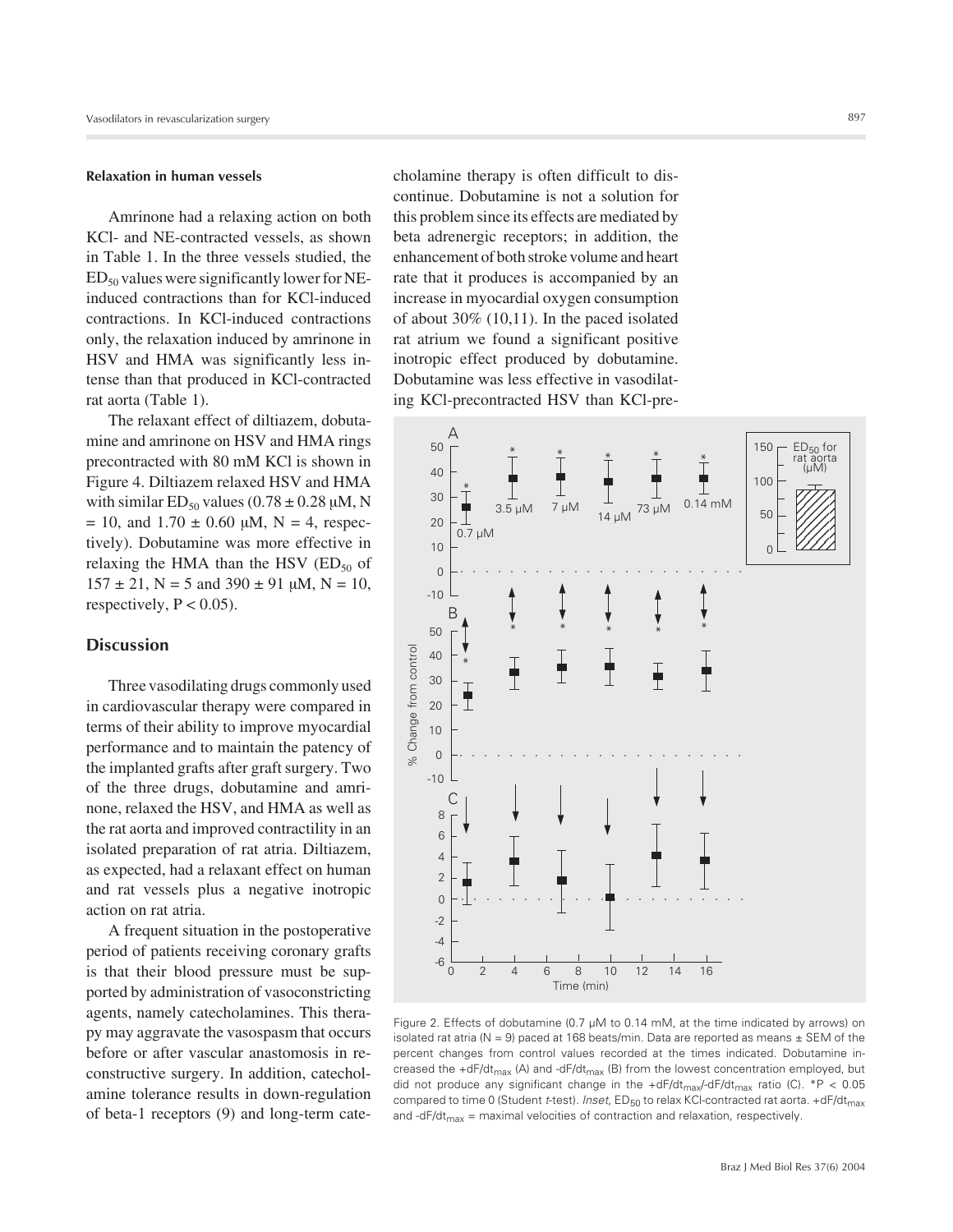#### **Relaxation in human vessels**

Amrinone had a relaxing action on both KCl- and NE-contracted vessels, as shown in Table 1. In the three vessels studied, the  $ED_{50}$  values were significantly lower for NEinduced contractions than for KCl-induced contractions. In KCl-induced contractions only, the relaxation induced by amrinone in HSV and HMA was significantly less intense than that produced in KCl-contracted rat aorta (Table 1).

The relaxant effect of diltiazem, dobutamine and amrinone on HSV and HMA rings precontracted with 80 mM KCl is shown in Figure 4. Diltiazem relaxed HSV and HMA with similar  $ED_{50}$  values (0.78  $\pm$  0.28  $\mu$ M, N  $= 10$ , and  $1.70 \pm 0.60$   $\mu$ M, N = 4, respectively). Dobutamine was more effective in relaxing the HMA than the HSV  $(ED_{50}$  of  $157 \pm 21$ , N = 5 and 390  $\pm$  91  $\mu$ M, N = 10, respectively,  $P < 0.05$ ).

## **Discussion**

Three vasodilating drugs commonly used in cardiovascular therapy were compared in terms of their ability to improve myocardial performance and to maintain the patency of the implanted grafts after graft surgery. Two of the three drugs, dobutamine and amrinone, relaxed the HSV, and HMA as well as the rat aorta and improved contractility in an isolated preparation of rat atria. Diltiazem, as expected, had a relaxant effect on human and rat vessels plus a negative inotropic action on rat atria.

A frequent situation in the postoperative period of patients receiving coronary grafts is that their blood pressure must be supported by administration of vasoconstricting agents, namely catecholamines. This therapy may aggravate the vasospasm that occurs before or after vascular anastomosis in reconstructive surgery. In addition, catecholamine tolerance results in down-regulation of beta-1 receptors (9) and long-term catecholamine therapy is often difficult to discontinue. Dobutamine is not a solution for this problem since its effects are mediated by beta adrenergic receptors; in addition, the enhancement of both stroke volume and heart rate that it produces is accompanied by an increase in myocardial oxygen consumption of about 30% (10,11). In the paced isolated rat atrium we found a significant positive inotropic effect produced by dobutamine. Dobutamine was less effective in vasodilating KCl-precontracted HSV than KCl-pre-



Figure 2. Effects of dobutamine (0.7 µM to 0.14 mM, at the time indicated by arrows) on isolated rat atria ( $N = 9$ ) paced at 168 beats/min. Data are reported as means  $\pm$  SEM of the percent changes from control values recorded at the times indicated. Dobutamine increased the  $+dF/dt_{max}$  (A) and  $-dF/dt_{max}$  (B) from the lowest concentration employed, but did not produce any significant change in the  $+dF/dt_{max}/dF/dt_{max}$  ratio (C). \*P < 0.05 compared to time 0 (Student *t*-test). *Inset*, ED<sub>50</sub> to relax KCI-contracted rat aorta. +dF/dt<sub>max</sub> and -dF/dt<sub>max</sub> = maximal velocities of contraction and relaxation, respectively.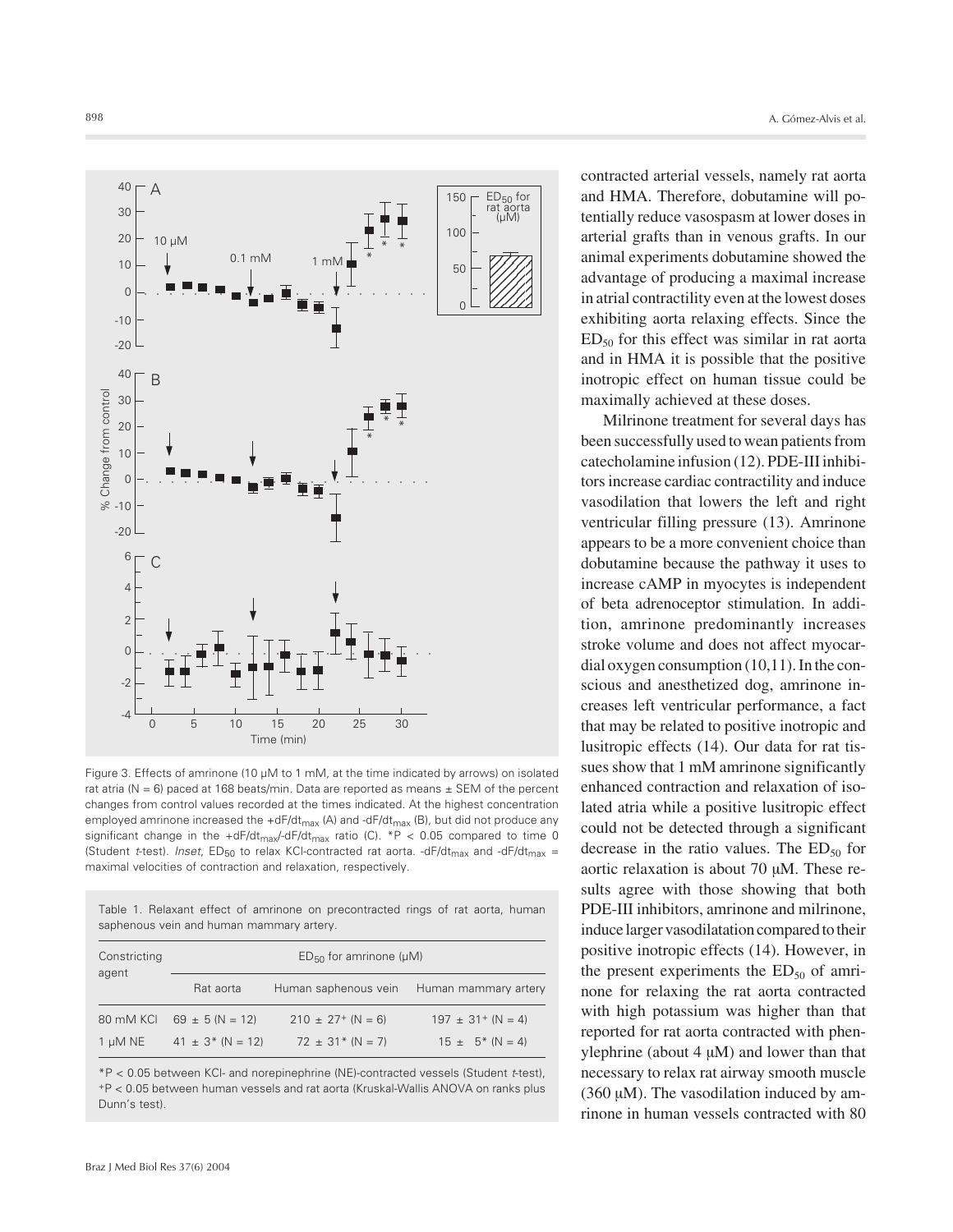

Figure 3. Effects of amrinone (10 µM to 1 mM, at the time indicated by arrows) on isolated rat atria ( $N = 6$ ) paced at 168 beats/min. Data are reported as means  $\pm$  SEM of the percent changes from control values recorded at the times indicated. At the highest concentration employed amrinone increased the +dF/dt<sub>max</sub> (A) and -dF/dt<sub>max</sub> (B), but did not produce any significant change in the +dF/dt<sub>max</sub>/-dF/dt<sub>max</sub> ratio (C). \*P < 0.05 compared to time 0 (Student *t*-test). *Inset*,  $ED_{50}$  to relax KCI-contracted rat aorta. -dF/dt<sub>max</sub> and -dF/dt<sub>max</sub> = maximal velocities of contraction and relaxation, respectively.

Table 1. Relaxant effect of amrinone on precontracted rings of rat aorta, human saphenous vein and human mammary artery.

| Constricting<br>agent |                                   |                        |                          |
|-----------------------|-----------------------------------|------------------------|--------------------------|
|                       | $ED_{50}$ for amrinone ( $\mu$ M) |                        |                          |
|                       | Rat aorta                         | Human saphenous vein   | Human mammary artery     |
| 80 mM KCI             | $69 \pm 5 (N = 12)$               | $210 \pm 27$ + (N = 6) | $197 \pm 31^{+}$ (N = 4) |
| $1 \mu M NE$          | $41 \pm 3$ * (N = 12)             | $72 \pm 31$ * (N = 7)  | $15 \pm 5^*$ (N = 4)     |

\*P < 0.05 between KCl- and norepinephrine (NE)-contracted vessels (Student *t*-test), +P < 0.05 between human vessels and rat aorta (Kruskal-Wallis ANOVA on ranks plus Dunn's test).

contracted arterial vessels, namely rat aorta and HMA. Therefore, dobutamine will potentially reduce vasospasm at lower doses in arterial grafts than in venous grafts. In our animal experiments dobutamine showed the advantage of producing a maximal increase in atrial contractility even at the lowest doses exhibiting aorta relaxing effects. Since the  $ED<sub>50</sub>$  for this effect was similar in rat aorta and in HMA it is possible that the positive inotropic effect on human tissue could be maximally achieved at these doses.

Milrinone treatment for several days has been successfully used to wean patients from catecholamine infusion (12). PDE-III inhibitors increase cardiac contractility and induce vasodilation that lowers the left and right ventricular filling pressure (13). Amrinone appears to be a more convenient choice than dobutamine because the pathway it uses to increase cAMP in myocytes is independent of beta adrenoceptor stimulation. In addition, amrinone predominantly increases stroke volume and does not affect myocardial oxygen consumption (10,11). In the conscious and anesthetized dog, amrinone increases left ventricular performance, a fact that may be related to positive inotropic and lusitropic effects (14). Our data for rat tissues show that 1 mM amrinone significantly enhanced contraction and relaxation of isolated atria while a positive lusitropic effect could not be detected through a significant decrease in the ratio values. The  $ED_{50}$  for aortic relaxation is about 70 µM. These results agree with those showing that both PDE-III inhibitors, amrinone and milrinone, induce larger vasodilatation compared to their positive inotropic effects (14). However, in the present experiments the  $ED_{50}$  of amrinone for relaxing the rat aorta contracted with high potassium was higher than that reported for rat aorta contracted with phenylephrine (about  $4 \mu M$ ) and lower than that necessary to relax rat airway smooth muscle (360 µM). The vasodilation induced by amrinone in human vessels contracted with 80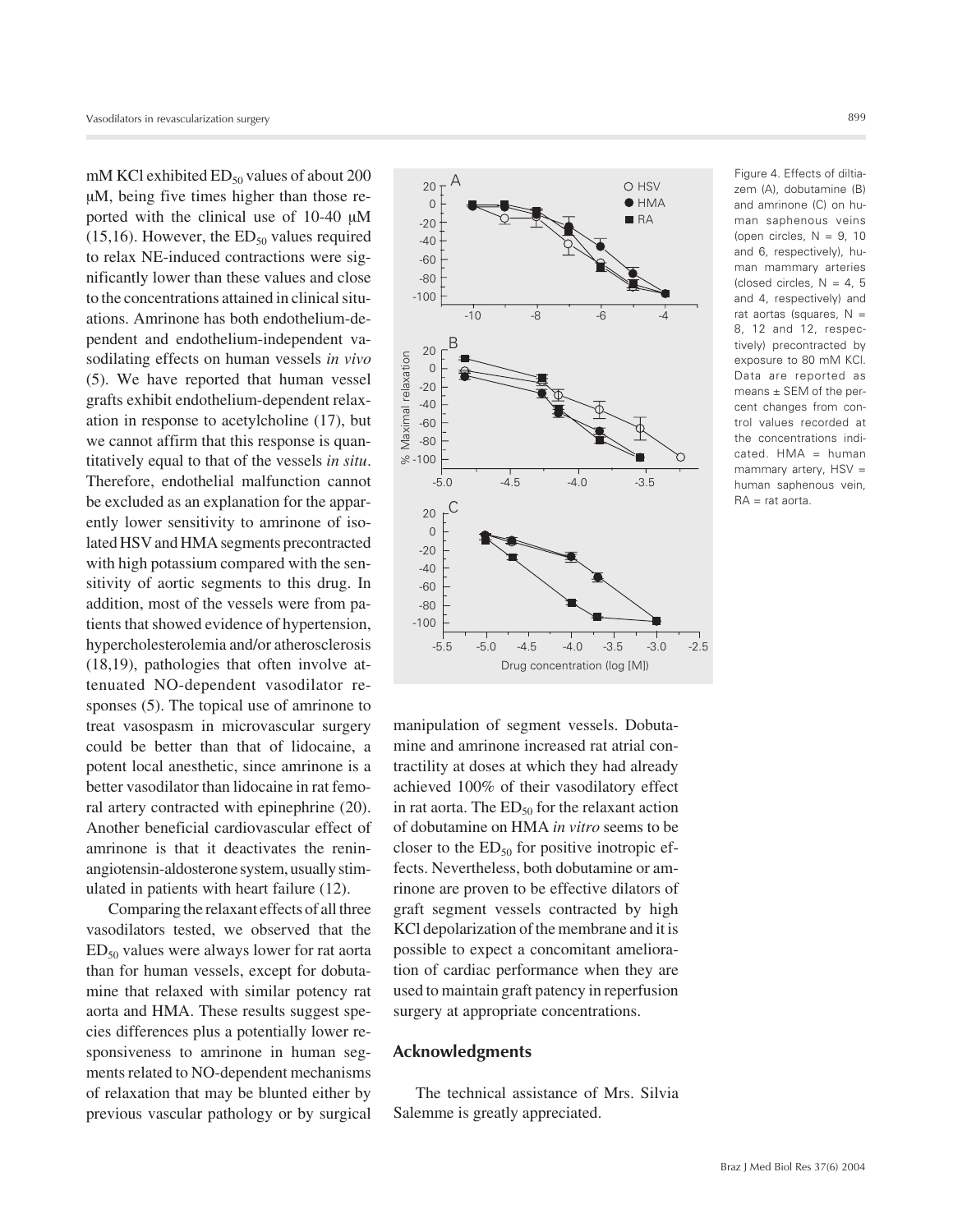mM KCl exhibited  $ED_{50}$  values of about 200 µM, being five times higher than those reported with the clinical use of 10-40 µM (15,16). However, the  $ED_{50}$  values required to relax NE-induced contractions were significantly lower than these values and close to the concentrations attained in clinical situations. Amrinone has both endothelium-dependent and endothelium-independent vasodilating effects on human vessels *in vivo* (5). We have reported that human vessel grafts exhibit endothelium-dependent relaxation in response to acetylcholine (17), but we cannot affirm that this response is quantitatively equal to that of the vessels *in situ*. Therefore, endothelial malfunction cannot be excluded as an explanation for the apparently lower sensitivity to amrinone of isolated HSV and HMA segments precontracted with high potassium compared with the sensitivity of aortic segments to this drug. In addition, most of the vessels were from patients that showed evidence of hypertension, hypercholesterolemia and/or atherosclerosis (18,19), pathologies that often involve attenuated NO-dependent vasodilator responses (5). The topical use of amrinone to treat vasospasm in microvascular surgery could be better than that of lidocaine, a potent local anesthetic, since amrinone is a better vasodilator than lidocaine in rat femoral artery contracted with epinephrine (20). Another beneficial cardiovascular effect of amrinone is that it deactivates the reninangiotensin-aldosterone system, usually stimulated in patients with heart failure (12).

Comparing the relaxant effects of all three vasodilators tested, we observed that the  $ED<sub>50</sub>$  values were always lower for rat aorta than for human vessels, except for dobutamine that relaxed with similar potency rat aorta and HMA. These results suggest species differences plus a potentially lower responsiveness to amrinone in human segments related to NO-dependent mechanisms of relaxation that may be blunted either by previous vascular pathology or by surgical



Figure 4. Effects of diltiazem (A), dobutamine (B) and amrinone (C) on human saphenous veins (open circles,  $N = 9$ , 10 and 6, respectively), human mammary arteries (closed circles,  $N = 4, 5$ and 4, respectively) and rat aortas (squares,  $N =$ 8, 12 and 12, respectively) precontracted by exposure to 80 mM KCl. Data are reported as means ± SEM of the percent changes from control values recorded at the concentrations indi $cated. HMA = human$ mammary artery, HSV = human saphenous vein, RA = rat aorta.

manipulation of segment vessels. Dobutamine and amrinone increased rat atrial contractility at doses at which they had already achieved 100% of their vasodilatory effect in rat aorta. The  $ED_{50}$  for the relaxant action of dobutamine on HMA *in vitro* seems to be closer to the  $ED_{50}$  for positive inotropic effects. Nevertheless, both dobutamine or amrinone are proven to be effective dilators of graft segment vessels contracted by high KCl depolarization of the membrane and it is possible to expect a concomitant amelioration of cardiac performance when they are used to maintain graft patency in reperfusion surgery at appropriate concentrations.

# **Acknowledgments**

The technical assistance of Mrs. Silvia Salemme is greatly appreciated.